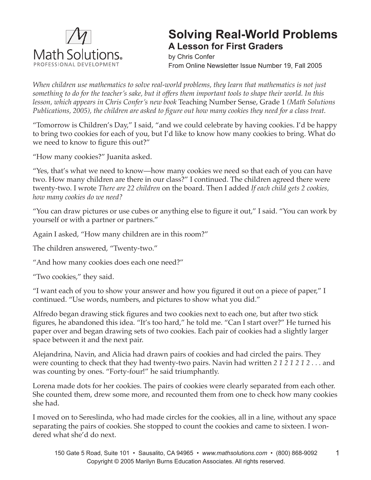

## **Solving Real-World Problems A Lesson for First Graders**

by Chris Confer From Online Newsletter Issue Number 19, Fall 2005

*When children use mathematics to solve real-world problems, they learn that mathematics is not just something to do for the teacher's sake, but it offers them important tools to shape their world. In this lesson, which appears in Chris Confer's new book* Teaching Number Sense, Grade 1 *(Math Solutions Publications, 2005), the children are asked to figure out how many cookies they need for a class treat.*

"Tomorrow is Children's Day," I said, "and we could celebrate by having cookies. I'd be happy to bring two cookies for each of you, but I'd like to know how many cookies to bring. What do we need to know to figure this out?"

"How many cookies?" Juanita asked.

"Yes, that's what we need to know—how many cookies we need so that each of you can have two. How many children are there in our class?" I continued. The children agreed there were twenty-two. I wrote *There are 22 children* on the board. Then I added *If each child gets 2 cookies, how many cookies do we need?* 

"You can draw pictures or use cubes or anything else to figure it out," I said. "You can work by yourself or with a partner or partners."

Again I asked, "How many children are in this room?"

The children answered, "Twenty-two."

"And how many cookies does each one need?"

"Two cookies," they said.

"I want each of you to show your answer and how you figured it out on a piece of paper," I continued. "Use words, numbers, and pictures to show what you did."

Alfredo began drawing stick figures and two cookies next to each one, but after two stick figures, he abandoned this idea. "It's too hard," he told me. "Can I start over?" He turned his paper over and began drawing sets of two cookies. Each pair of cookies had a slightly larger space between it and the next pair.

Alejandrina, Navin, and Alicia had drawn pairs of cookies and had circled the pairs. They were counting to check that they had twenty-two pairs. Navin had written *2 1 2 1 2 1 2 . . .* and was counting by ones. "Forty-four!" he said triumphantly.

Lorena made dots for her cookies. The pairs of cookies were clearly separated from each other. She counted them, drew some more, and recounted them from one to check how many cookies she had.

I moved on to Sereslinda, who had made circles for the cookies, all in a line, without any space separating the pairs of cookies. She stopped to count the cookies and came to sixteen. I wondered what she'd do next.

1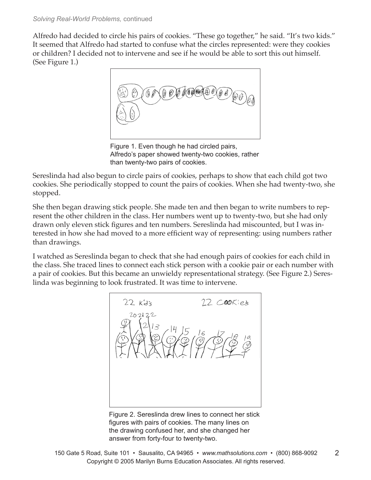Alfredo had decided to circle his pairs of cookies. "These go together," he said. "It's two kids." It seemed that Alfredo had started to confuse what the circles represented: were they cookies or children? I decided not to intervene and see if he would be able to sort this out himself. (See Figure 1.)



Figure 1. Even though he had circled pairs, Alfredo's paper showed twenty-two cookies, rather than twenty-two pairs of cookies.

Sereslinda had also begun to circle pairs of cookies, perhaps to show that each child got two cookies. She periodically stopped to count the pairs of cookies. When she had twenty-two, she stopped.

She then began drawing stick people. She made ten and then began to write numbers to represent the other children in the class. Her numbers went up to twenty-two, but she had only drawn only eleven stick figures and ten numbers. Sereslinda had miscounted, but I was interested in how she had moved to a more efficient way of representing: using numbers rather than drawings.

I watched as Sereslinda began to check that she had enough pairs of cookies for each child in the class. She traced lines to connect each stick person with a cookie pair or each number with a pair of cookies. But this became an unwieldy representational strategy. (See Figure 2.) Sereslinda was beginning to look frustrated. It was time to intervene.



Figure 2. Sereslinda drew lines to connect her stick figures with pairs of cookies. The many lines on the drawing confused her, and she changed her answer from forty-four to twenty-two.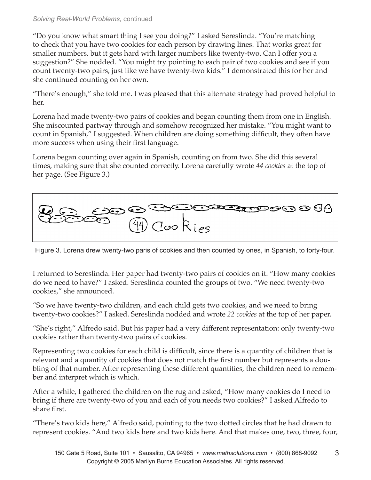## *Solving Real-World Problems,* continued

"Do you know what smart thing I see you doing?" I asked Sereslinda. "You're matching to check that you have two cookies for each person by drawing lines. That works great for smaller numbers, but it gets hard with larger numbers like twenty-two. Can I offer you a suggestion?" She nodded. "You might try pointing to each pair of two cookies and see if you count twenty-two pairs, just like we have twenty-two kids." I demonstrated this for her and she continued counting on her own.

"There's enough," she told me. I was pleased that this alternate strategy had proved helpful to her.

Lorena had made twenty-two pairs of cookies and began counting them from one in English. She miscounted partway through and somehow recognized her mistake. "You might want to count in Spanish," I suggested. When children are doing something difficult, they often have more success when using their first language.

Lorena began counting over again in Spanish, counting on from two. She did this several times, making sure that she counted correctly. Lorena carefully wrote *44 cookies* at the top of her page. (See Figure 3.)



Figure 3. Lorena drew twenty-two paris of cookies and then counted by ones, in Spanish, to forty-four.

I returned to Sereslinda. Her paper had twenty-two pairs of cookies on it. "How many cookies do we need to have?" I asked. Sereslinda counted the groups of two. "We need twenty-two cookies," she announced.

"So we have twenty-two children, and each child gets two cookies, and we need to bring twenty-two cookies?" I asked. Sereslinda nodded and wrote *22 cookies* at the top of her paper.

"She's right," Alfredo said. But his paper had a very different representation: only twenty-two cookies rather than twenty-two pairs of cookies.

Representing two cookies for each child is difficult, since there is a quantity of children that is relevant and a quantity of cookies that does not match the first number but represents a doubling of that number. After representing these different quantities, the children need to remember and interpret which is which.

After a while, I gathered the children on the rug and asked, "How many cookies do I need to bring if there are twenty-two of you and each of you needs two cookies?" I asked Alfredo to share first.

"There's two kids here," Alfredo said, pointing to the two dotted circles that he had drawn to represent cookies. "And two kids here and two kids here. And that makes one, two, three, four,